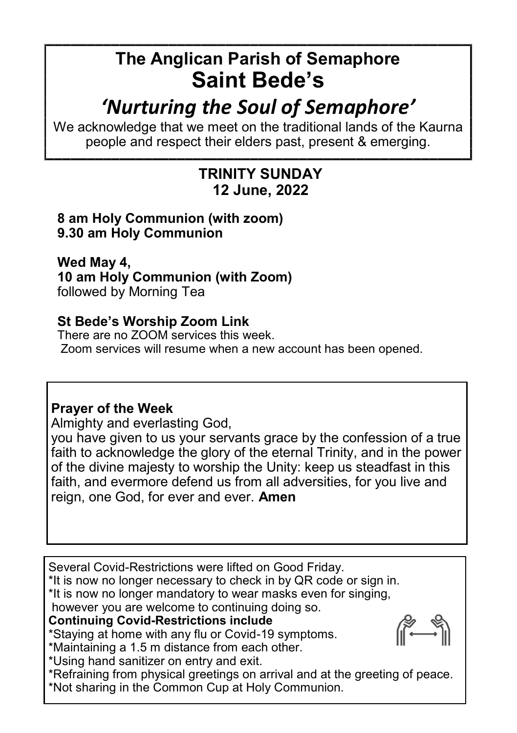# **The Anglican Parish of Semaphore Saint Bede's**

# *'Nurturing the Soul of Semaphore'*

We acknowledge that we meet on the traditional lands of the Kaurna people and respect their elders past, present & emerging.

# **TRINITY SUNDAY 12 June, 2022**

#### **8 am Holy Communion (with zoom) 9.30 am Holy Communion**

**Wed May 4, 10 am Holy Communion (with Zoom)**  followed by Morning Tea

### **St Bede's Worship Zoom Link**

There are no ZOOM services this week. Zoom services will resume when a new account has been opened.

## **Prayer of the Week**

Almighty and everlasting God,

you have given to us your servants grace by the confession of a true faith to acknowledge the glory of the eternal Trinity, and in the power of the divine majesty to worship the Unity: keep us steadfast in this faith, and evermore defend us from all adversities, for you live and reign, one God, for ever and ever. **Amen**

Several Covid-Restrictions were lifted on Good Friday.

\*It is now no longer necessary to check in by QR code or sign in.

\*It is now no longer mandatory to wear masks even for singing,

however you are welcome to continuing doing so.

### **Continuing Covid-Restrictions include**

\*Staying at home with any flu or Covid-19 symptoms. \*Maintaining a 1.5 m distance from each other.

\*Using hand sanitizer on entry and exit.

\*Refraining from physical greetings on arrival and at the greeting of peace. \*Not sharing in the Common Cup at Holy Communion.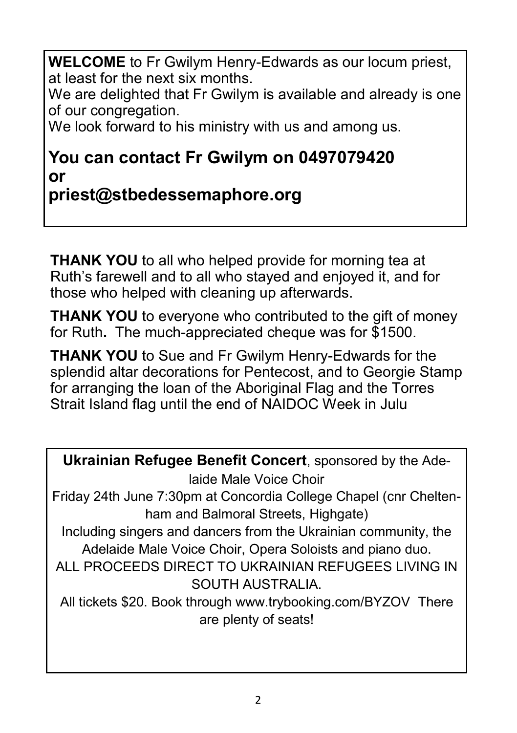**WELCOME** to Fr Gwilym Henry-Edwards as our locum priest, at least for the next six months.

We are delighted that Fr Gwilym is available and already is one of our congregation.

We look forward to his ministry with us and among us.

# **You can contact Fr Gwilym on 0497079420 or**

# **priest@stbedessemaphore.org**

**THANK YOU** to all who helped provide for morning tea at Ruth's farewell and to all who stayed and enjoyed it, and for those who helped with cleaning up afterwards.

**THANK YOU** to everyone who contributed to the gift of money for Ruth**.** The much-appreciated cheque was for \$1500.

**THANK YOU** to Sue and Fr Gwilym Henry-Edwards for the splendid altar decorations for Pentecost, and to Georgie Stamp for arranging the loan of the Aboriginal Flag and the Torres Strait Island flag until the end of NAIDOC Week in Julu

**Ukrainian Refugee Benefit Concert**, sponsored by the Adelaide Male Voice Choir Friday 24th June 7:30pm at Concordia College Chapel (cnr Cheltenham and Balmoral Streets, Highgate) Including singers and dancers from the Ukrainian community, the Adelaide Male Voice Choir, Opera Soloists and piano duo. ALL PROCEEDS DIRECT TO UKRAINIAN REFUGEES LIVING IN SOUTH AUSTRALIA. All tickets \$20. Book through www.trybooking.com/BYZOV There are plenty of seats!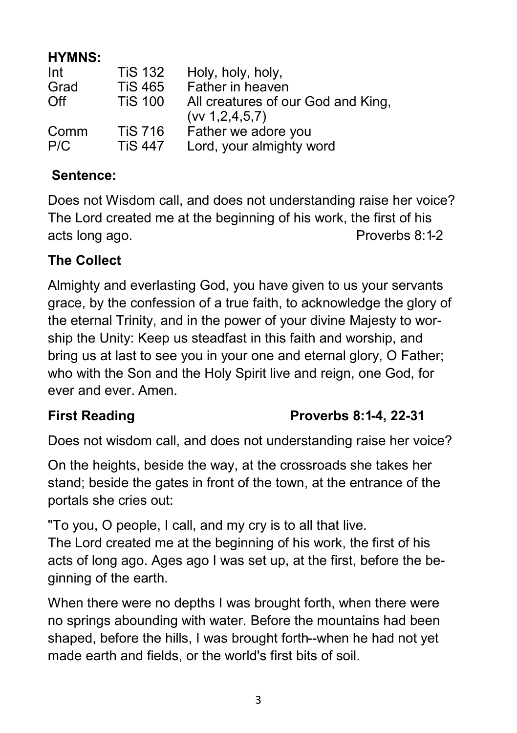### **HYMNS:**

| Int  | <b>TiS 132</b> | Holy, holy, holy,                                        |
|------|----------------|----------------------------------------------------------|
| Grad | <b>TiS 465</b> | Father in heaven                                         |
| Off  | <b>TiS 100</b> | All creatures of our God and King,<br>(vv 1, 2, 4, 5, 7) |
| Comm | <b>TiS 716</b> | Father we adore you                                      |
| P/C  | <b>TiS 447</b> | Lord, your almighty word                                 |

### **Sentence:**

Does not Wisdom call, and does not understanding raise her voice? The Lord created me at the beginning of his work, the first of his acts long ago. **Proverbs 8:1-2** 

### **The Collect**

Almighty and everlasting God, you have given to us your servants grace, by the confession of a true faith, to acknowledge the glory of the eternal Trinity, and in the power of your divine Majesty to worship the Unity: Keep us steadfast in this faith and worship, and bring us at last to see you in your one and eternal glory, O Father; who with the Son and the Holy Spirit live and reign, one God, for ever and ever. Amen.

## **First Reading Proverbs 8:1-4, 22-31**

Does not wisdom call, and does not understanding raise her voice?

On the heights, beside the way, at the crossroads she takes her stand; beside the gates in front of the town, at the entrance of the portals she cries out:

"To you, O people, I call, and my cry is to all that live. The Lord created me at the beginning of his work, the first of his acts of long ago. Ages ago I was set up, at the first, before the beginning of the earth.

When there were no depths I was brought forth, when there were no springs abounding with water. Before the mountains had been shaped, before the hills, I was brought forth--when he had not yet made earth and fields, or the world's first bits of soil.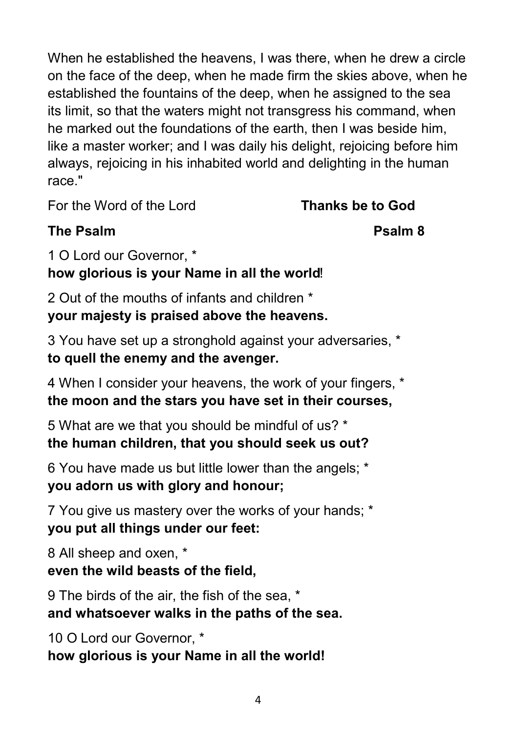When he established the heavens, I was there, when he drew a circle on the face of the deep, when he made firm the skies above, when he established the fountains of the deep, when he assigned to the sea its limit, so that the waters might not transgress his command, when he marked out the foundations of the earth, then I was beside him, like a master worker; and I was daily his delight, rejoicing before him always, rejoicing in his inhabited world and delighting in the human race."

For the Word of the Lord **Thanks be to God**

# **The Psalm Community Community Community Psalm 8**

1 O Lord our Governor, \* **how glorious is your Name in all the world**!

2 Out of the mouths of infants and children \* **your majesty is praised above the heavens.**

3 You have set up a stronghold against your adversaries, \* **to quell the enemy and the avenger.**

4 When I consider your heavens, the work of your fingers, \* **the moon and the stars you have set in their courses,**

5 What are we that you should be mindful of us? \* **the human children, that you should seek us out?**

6 You have made us but little lower than the angels; \* **you adorn us with glory and honour;**

7 You give us mastery over the works of your hands; \* **you put all things under our feet:**

8 All sheep and oxen, \* **even the wild beasts of the field,**

9 The birds of the air, the fish of the sea, \* **and whatsoever walks in the paths of the sea.**

10 O Lord our Governor, \* **how glorious is your Name in all the world!**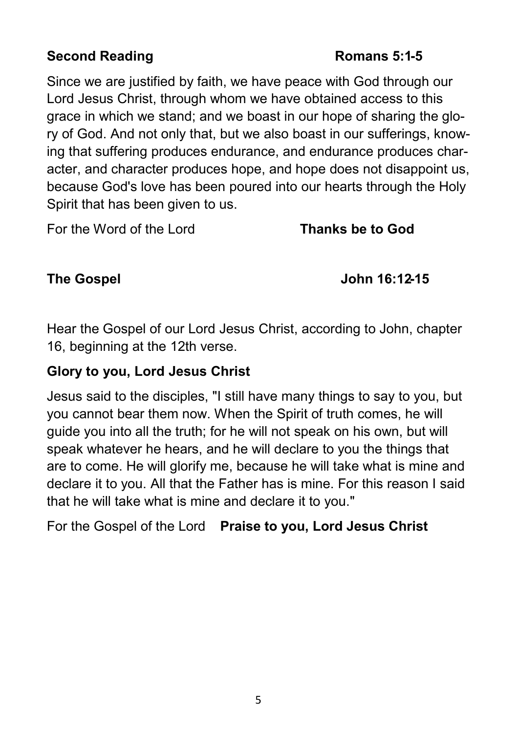## **Second Reading Romans 5:1-5**

Since we are justified by faith, we have peace with God through our Lord Jesus Christ, through whom we have obtained access to this grace in which we stand; and we boast in our hope of sharing the glory of God. And not only that, but we also boast in our sufferings, knowing that suffering produces endurance, and endurance produces character, and character produces hope, and hope does not disappoint us, because God's love has been poured into our hearts through the Holy Spirit that has been given to us.

For the Word of the Lord **Thanks be to God**

#### **The Gospel John 16:12-15**

Hear the Gospel of our Lord Jesus Christ, according to John, chapter 16, beginning at the 12th verse.

## **Glory to you, Lord Jesus Christ**

Jesus said to the disciples, "I still have many things to say to you, but you cannot bear them now. When the Spirit of truth comes, he will guide you into all the truth; for he will not speak on his own, but will speak whatever he hears, and he will declare to you the things that are to come. He will glorify me, because he will take what is mine and declare it to you. All that the Father has is mine. For this reason I said that he will take what is mine and declare it to you."

For the Gospel of the Lord **Praise to you, Lord Jesus Christ**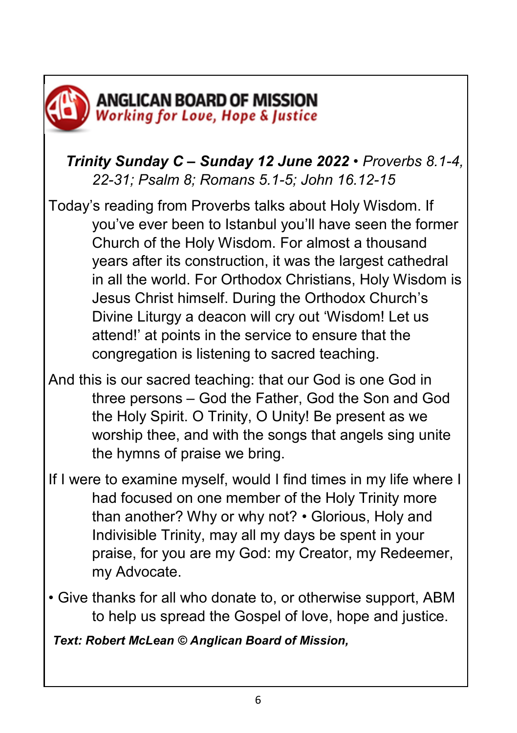

# *Trinity Sunday C – Sunday 12 June 2022 • Proverbs 8.1-4, 22-31; Psalm 8; Romans 5.1-5; John 16.12-15*

Today's reading from Proverbs talks about Holy Wisdom. If you've ever been to Istanbul you'll have seen the former Church of the Holy Wisdom. For almost a thousand years after its construction, it was the largest cathedral in all the world. For Orthodox Christians, Holy Wisdom is Jesus Christ himself. During the Orthodox Church's Divine Liturgy a deacon will cry out 'Wisdom! Let us attend!' at points in the service to ensure that the congregation is listening to sacred teaching.

- And this is our sacred teaching: that our God is one God in three persons – God the Father, God the Son and God the Holy Spirit. O Trinity, O Unity! Be present as we worship thee, and with the songs that angels sing unite the hymns of praise we bring.
- If I were to examine myself, would I find times in my life where I had focused on one member of the Holy Trinity more than another? Why or why not? • Glorious, Holy and Indivisible Trinity, may all my days be spent in your praise, for you are my God: my Creator, my Redeemer, my Advocate.
- Give thanks for all who donate to, or otherwise support, ABM to help us spread the Gospel of love, hope and justice.

*Text: Robert McLean © Anglican Board of Mission,*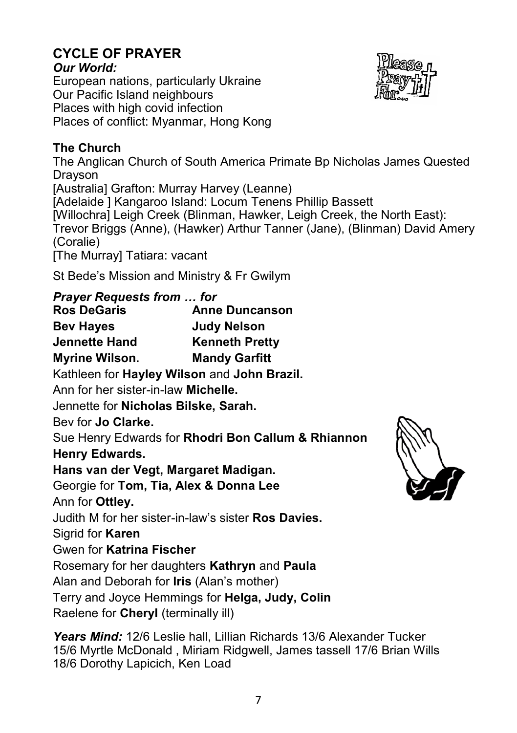#### **CYCLE OF PRAYER** *Our World:*

European nations, particularly Ukraine Our Pacific Island neighbours Places with high covid infection Places of conflict: Myanmar, Hong Kong

# **The Church**

The Anglican Church of South America Primate Bp Nicholas James Quested Drayson [Australia] Grafton: Murray Harvey (Leanne) [Adelaide ] Kangaroo Island: Locum Tenens Phillip Bassett [Willochra] Leigh Creek (Blinman, Hawker, Leigh Creek, the North East): Trevor Briggs (Anne), (Hawker) Arthur Tanner (Jane), (Blinman) David Amery (Coralie) [The Murray] Tatiara: vacant

St Bede's Mission and Ministry & Fr Gwilym

# *Prayer Requests from … for*

**Ros DeGaris Anne Duncanson Bev Hayes Judy Nelson Jennette Hand Kenneth Pretty Myrine Wilson. Mandy Garfitt** Kathleen for **Hayley Wilson** and **John Brazil.** Ann for her sister-in-law **Michelle.**  Jennette for **Nicholas Bilske, Sarah.** Bev for **Jo Clarke.** Sue Henry Edwards for **Rhodri Bon Callum & Rhiannon Henry Edwards. Hans van der Vegt, Margaret Madigan.** Georgie for **Tom, Tia, Alex & Donna Lee** Ann for **Ottley.**  Judith M for her sister-in-law's sister **Ros Davies.** Sigrid for **Karen**  Gwen for **Katrina Fischer** Rosemary for her daughters **Kathryn** and **Paula** Alan and Deborah for **Iris** (Alan's mother) Terry and Joyce Hemmings for **Helga, Judy, Colin** Raelene for **Cheryl** (terminally ill)

*Years Mind:* 12/6 Leslie hall, Lillian Richards 13/6 Alexander Tucker 15/6 Myrtle McDonald , Miriam Ridgwell, James tassell 17/6 Brian Wills 18/6 Dorothy Lapicich, Ken Load